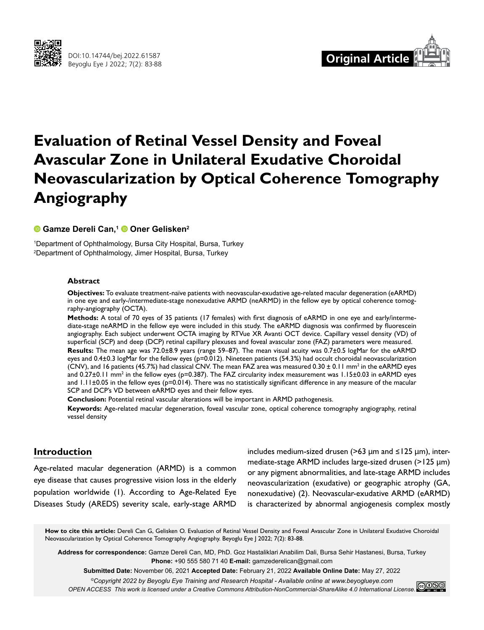



# **Evaluation of Retinal Vessel Density and Foveal Avascular Zone in Unilateral Exudative Choroidal Neovascularization by Optical Coherence Tomography Angiography**

## **Gamze Dereli Can,1Oner Gelisken2**

1 Department of Ophthalmology, Bursa City Hospital, Bursa, Turkey 2 Department of Ophthalmology, Jimer Hospital, Bursa, Turkey

#### **Abstract**

**Objectives:** To evaluate treatment-naïve patients with neovascular-exudative age-related macular degeneration (eARMD) in one eye and early-/intermediate-stage nonexudative ARMD (neARMD) in the fellow eye by optical coherence tomography-angiography (OCTA).

**Methods:** A total of 70 eyes of 35 patients (17 females) with first diagnosis of eARMD in one eye and early/intermediate-stage neARMD in the fellow eye were included in this study. The eARMD diagnosis was confirmed by fluorescein angiography. Each subject underwent OCTA imaging by RTVue XR Avanti OCT device. Capillary vessel density (VD) of superficial (SCP) and deep (DCP) retinal capillary plexuses and foveal avascular zone (FAZ) parameters were measured.

**Results:** The mean age was 72.0±8.9 years (range 59–87). The mean visual acuity was 0.7±0.5 logMar for the eARMD eyes and 0.4 $\pm$ 0.3 logMar for the fellow eyes ( $p=0.012$ ). Nineteen patients (54.3%) had occult choroidal neovascularization (CNV), and 16 patients (45.7%) had classical CNV. The mean FAZ area was measured 0.30  $\pm$  0.11 mm<sup>2</sup> in the eARMD eyes and 0.27 $\pm$ 0.11 mm<sup>2</sup> in the fellow eyes (p=0.387). The FAZ circularity index measurement was 1.15 $\pm$ 0.03 in eARMD eyes and 1.11±0.05 in the fellow eyes (p=0.014). There was no statistically significant difference in any measure of the macular SCP and DCP's VD between eARMD eyes and their fellow eyes.

**Conclusion:** Potential retinal vascular alterations will be important in ARMD pathogenesis.

**Keywords:** Age-related macular degeneration, foveal vascular zone, optical coherence tomography angiography, retinal vessel density

## **Introduction**

Age-related macular degeneration (ARMD) is a common eye disease that causes progressive vision loss in the elderly population worldwide (1). According to Age-Related Eye Diseases Study (AREDS) severity scale, early-stage ARMD

includes medium-sized drusen (>63  $\mu$ m and ≤125  $\mu$ m), intermediate-stage ARMD includes large-sized drusen (>125 µm) or any pigment abnormalities, and late-stage ARMD includes neovascularization (exudative) or geographic atrophy (GA, nonexudative) (2). Neovascular-exudative ARMD (eARMD) is characterized by abnormal angiogenesis complex mostly

**How to cite this article:** Dereli Can G, Gelisken O. Evaluation of Retinal Vessel Density and Foveal Avascular Zone in Unilateral Exudative Choroidal Neovascularization by Optical Coherence Tomography Angiography. Beyoglu Eye J 2022; 7(2): 83-88.

**Address for correspondence:** Gamze Dereli Can, MD, PhD. Goz Hastaliklari Anabilim Dali, Bursa Sehir Hastanesi, Bursa, Turkey **Phone:** +90 555 580 71 40 **E-mail:** gamzederelican@gmail.com

**Submitted Date:** November 06, 2021 **Accepted Date:** February 21, 2022 **Available Online Date:** May 27, 2022

*©Copyright 2022 by Beyoglu Eye Training and Research Hospital - Available online at www.beyoglueye.com*

*OPEN ACCESS This work is licensed under a Creative Commons Attribution-NonCommercial-ShareAlike 4.0 International License.*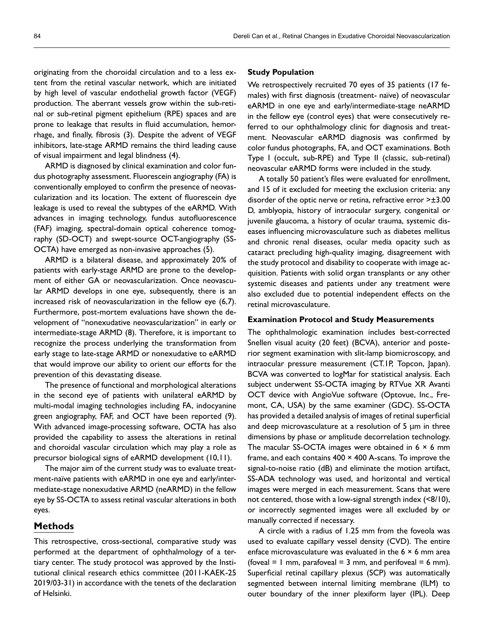originating from the choroidal circulation and to a less extent from the retinal vascular network, which are initiated by high level of vascular endothelial growth factor (VEGF) production. The aberrant vessels grow within the sub-retinal or sub-retinal pigment epithelium (RPE) spaces and are prone to leakage that results in fluid accumulation, hemorrhage, and finally, fibrosis (3). Despite the advent of VEGF inhibitors, late-stage ARMD remains the third leading cause of visual impairment and legal blindness (4).

ARMD is diagnosed by clinical examination and color fundus photography assessment. Fluorescein angiography (FA) is conventionally employed to confirm the presence of neovascularization and its location. The extent of fluorescein dye leakage is used to reveal the subtypes of the eARMD. With advances in imaging technology, fundus autofluorescence (FAF) imaging, spectral-domain optical coherence tomography (SD-OCT) and swept-source OCT-angiography (SS-OCTA) have emerged as non-invasive approaches (5).

ARMD is a bilateral disease, and approximately 20% of patients with early-stage ARMD are prone to the development of either GA or neovascularization. Once neovascular ARMD develops in one eye, subsequently, there is an increased risk of neovascularization in the fellow eye (6,7). Furthermore, post-mortem evaluations have shown the development of "nonexudative neovascularization" in early or intermediate-stage ARMD (8). Therefore, it is important to recognize the process underlying the transformation from early stage to late-stage ARMD or nonexudative to eARMD that would improve our ability to orient our efforts for the prevention of this devastating disease.

The presence of functional and morphological alterations in the second eye of patients with unilateral eARMD by multi-modal imaging technologies including FA, indocyanine green angiography, FAF, and OCT have been reported (9). With advanced image-processing software, OCTA has also provided the capability to assess the alterations in retinal and choroidal vascular circulation which may play a role as precursor biological signs of eARMD development (10,11).

The major aim of the current study was to evaluate treatment-naïve patients with eARMD in one eye and early/intermediate-stage nonexudative ARMD (neARMD) in the fellow eye by SS-OCTA to assess retinal vascular alterations in both eyes.

## **Methods**

This retrospective, cross-sectional, comparative study was performed at the department of ophthalmology of a tertiary center. The study protocol was approved by the Institutional clinical research ethics committee (2011-KAEK-25 2019/03-31) in accordance with the tenets of the declaration of Helsinki.

#### **Study Population**

We retrospectively recruited 70 eyes of 35 patients (17 females) with first diagnosis (treatment- naïve) of neovascular eARMD in one eye and early/intermediate-stage neARMD in the fellow eye (control eyes) that were consecutively referred to our ophthalmology clinic for diagnosis and treatment. Neovascular eARMD diagnosis was confirmed by color fundus photographs, FA, and OCT examinations. Both Type I (occult, sub-RPE) and Type II (classic, sub-retinal) neovascular eARMD forms were included in the study.

A totally 50 patient's files were evaluated for enrollment, and 15 of it excluded for meeting the exclusion criteria: any disorder of the optic nerve or retina, refractive error >±3.00 D, amblyopia, history of intraocular surgery, congenital or juvenile glaucoma, a history of ocular trauma, systemic diseases influencing microvasculature such as diabetes mellitus and chronic renal diseases, ocular media opacity such as cataract precluding high-quality imaging, disagreement with the study protocol and disability to cooperate with image acquisition. Patients with solid organ transplants or any other systemic diseases and patients under any treatment were also excluded due to potential independent effects on the retinal microvasculature.

#### **Examination Protocol and Study Measurements**

The ophthalmologic examination includes best-corrected Snellen visual acuity (20 feet) (BCVA), anterior and posterior segment examination with slit-lamp biomicroscopy, and intraocular pressure measurement (CT.1P, Topcon, Japan). BCVA was converted to logMar for statistical analysis. Each subject underwent SS-OCTA imaging by RTVue XR Avanti OCT device with AngioVue software (Optovue, Inc., Fremont, CA, USA) by the same examiner (GDC). SS-OCTA has provided a detailed analysis of images of retinal superficial and deep microvasculature at a resolution of 5 µm in three dimensions by phase or amplitude decorrelation technology. The macular SS-OCTA images were obtained in  $6 \times 6$  mm frame, and each contains  $400 \times 400$  A-scans. To improve the signal-to-noise ratio (dB) and eliminate the motion artifact, SS-ADA technology was used, and horizontal and vertical images were merged in each measurement. Scans that were not centered, those with a low-signal strength index (<8/10), or incorrectly segmented images were all excluded by or manually corrected if necessary.

A circle with a radius of 1.25 mm from the foveola was used to evaluate capillary vessel density (CVD). The entire enface microvasculature was evaluated in the  $6 \times 6$  mm area (foveal  $= 1$  mm, parafoveal  $= 3$  mm, and perifoveal  $= 6$  mm). Superficial retinal capillary plexus (SCP) was automatically segmented between internal limiting membrane (ILM) to outer boundary of the inner plexiform layer (IPL). Deep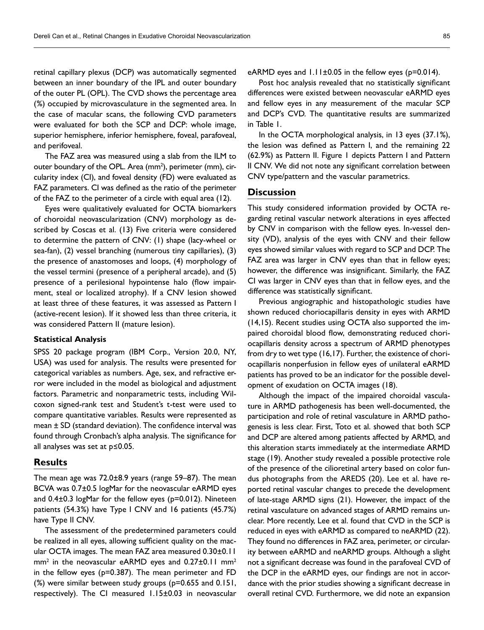retinal capillary plexus (DCP) was automatically segmented between an inner boundary of the IPL and outer boundary of the outer PL (OPL). The CVD shows the percentage area (%) occupied by microvasculature in the segmented area. In the case of macular scans, the following CVD parameters were evaluated for both the SCP and DCP: whole image, superior hemisphere, inferior hemisphere, foveal, parafoveal, and perifoveal.

The FAZ area was measured using a slab from the ILM to outer boundary of the OPL. Area (mm<sup>2</sup>), perimeter (mm), circularity index (CI), and foveal density (FD) were evaluated as FAZ parameters. CI was defined as the ratio of the perimeter of the FAZ to the perimeter of a circle with equal area (12).

Eyes were qualitatively evaluated for OCTA biomarkers of choroidal neovascularization (CNV) morphology as described by Coscas et al. (13) Five criteria were considered to determine the pattern of CNV: (1) shape (lacy-wheel or sea-fan), (2) vessel branching (numerous tiny capillaries), (3) the presence of anastomoses and loops, (4) morphology of the vessel termini (presence of a peripheral arcade), and (5) presence of a perilesional hypointense halo (flow impairment, steal or localized atrophy). If a CNV lesion showed at least three of these features, it was assessed as Pattern I (active-recent lesion). If it showed less than three criteria, it was considered Pattern II (mature lesion).

#### **Statistical Analysis**

SPSS 20 package program (IBM Corp., Version 20.0, NY, USA) was used for analysis. The results were presented for categorical variables as numbers. Age, sex, and refractive error were included in the model as biological and adjustment factors. Parametric and nonparametric tests, including Wilcoxon signed-rank test and Student's t-test were used to compare quantitative variables. Results were represented as mean  $\pm$  SD (standard deviation). The confidence interval was found through Cronbach's alpha analysis. The significance for all analyses was set at p≤0.05.

## **Results**

The mean age was 72.0±8.9 years (range 59–87). The mean BCVA was 0.7±0.5 logMar for the neovascular eARMD eyes and  $0.4\pm0.3$  logMar for the fellow eyes ( $p=0.012$ ). Nineteen patients (54.3%) have Type I CNV and 16 patients (45.7%) have Type II CNV.

The assessment of the predetermined parameters could be realized in all eyes, allowing sufficient quality on the macular OCTA images. The mean FAZ area measured 0.30±0.11  $mm<sup>2</sup>$  in the neovascular eARMD eyes and 0.27 $\pm$ 0.11 mm<sup>2</sup> in the fellow eyes (p=0.387). The mean perimeter and FD (%) were similar between study groups (p=0.655 and 0.151, respectively). The CI measured 1.15±0.03 in neovascular

eARMD eyes and  $1.11 \pm 0.05$  in the fellow eyes ( $p=0.014$ ).

Post hoc analysis revealed that no statistically significant differences were existed between neovascular eARMD eyes and fellow eyes in any measurement of the macular SCP and DCP's CVD. The quantitative results are summarized in Table 1.

In the OCTA morphological analysis, in 13 eyes (37.1%), the lesion was defined as Pattern I, and the remaining 22 (62.9%) as Pattern II. Figure 1 depicts Pattern I and Pattern II CNV. We did not note any significant correlation between CNV type/pattern and the vascular parametrics.

# **Discussion**

This study considered information provided by OCTA regarding retinal vascular network alterations in eyes affected by CNV in comparison with the fellow eyes. In-vessel density (VD), analysis of the eyes with CNV and their fellow eyes showed similar values with regard to SCP and DCP. The FAZ area was larger in CNV eyes than that in fellow eyes; however, the difference was insignificant. Similarly, the FAZ CI was larger in CNV eyes than that in fellow eyes, and the difference was statistically significant.

Previous angiographic and histopathologic studies have shown reduced choriocapillaris density in eyes with ARMD (14,15). Recent studies using OCTA also supported the impaired choroidal blood flow, demonstrating reduced choriocapillaris density across a spectrum of ARMD phenotypes from dry to wet type (16,17). Further, the existence of choriocapillaris nonperfusion in fellow eyes of unilateral eARMD patients has proved to be an indicator for the possible development of exudation on OCTA images (18).

Although the impact of the impaired choroidal vasculature in ARMD pathogenesis has been well-documented, the participation and role of retinal vasculature in ARMD pathogenesis is less clear. First, Toto et al. showed that both SCP and DCP are altered among patients affected by ARMD, and this alteration starts immediately at the intermediate ARMD stage (19). Another study revealed a possible protective role of the presence of the cilioretinal artery based on color fundus photographs from the AREDS (20). Lee et al. have reported retinal vascular changes to precede the development of late-stage ARMD signs (21). However, the impact of the retinal vasculature on advanced stages of ARMD remains unclear. More recently, Lee et al. found that CVD in the SCP is reduced in eyes with eARMD as compared to neARMD (22). They found no differences in FAZ area, perimeter, or circularity between eARMD and neARMD groups. Although a slight not a significant decrease was found in the parafoveal CVD of the DCP in the eARMD eyes, our findings are not in accordance with the prior studies showing a significant decrease in overall retinal CVD. Furthermore, we did note an expansion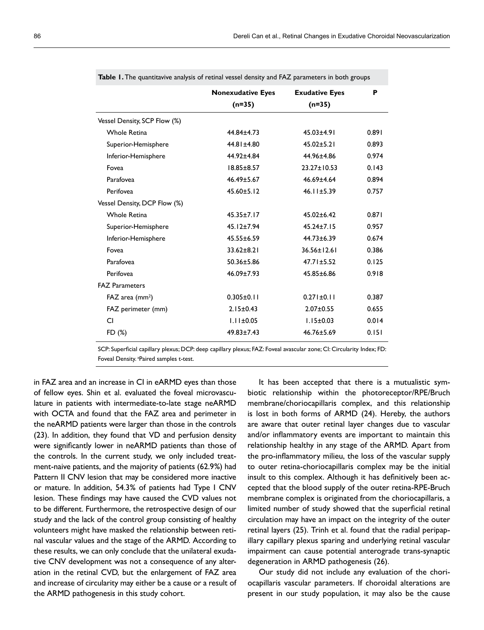|                               | <b>Nonexudative Eyes</b> | <b>Exudative Eyes</b> | P     |
|-------------------------------|--------------------------|-----------------------|-------|
|                               | $(n=35)$                 | $(n=35)$              |       |
| Vessel Density, SCP Flow (%)  |                          |                       |       |
| <b>Whole Retina</b>           | 44.84+4.73               | $45.03 + 4.91$        | 0.891 |
| Superior-Hemisphere           | $44.81 \pm 4.80$         | $45.02 \pm 5.21$      | 0.893 |
| Inferior-Hemisphere           | 44.92±4.84               | 44.96±4.86            | 0.974 |
| Fovea                         | $18.85 + 8.57$           | $23.27 + 10.53$       | 0.143 |
| Parafovea                     | $46.49 \pm 5.67$         | 46.69±4.64            | 0.894 |
| Perifovea                     | $45.60 \pm 5.12$         | $46.11 \pm 5.39$      | 0.757 |
| Vessel Density, DCP Flow (%)  |                          |                       |       |
| <b>Whole Retina</b>           | $45.35 \pm 7.17$         | $45.02 \pm 6.42$      | 0.871 |
| Superior-Hemisphere           | $45.12 \pm 7.94$         | $45.24 \pm 7.15$      | 0.957 |
| Inferior-Hemisphere           | $45.55 \pm 6.59$         | $44.73 + 6.39$        | 0.674 |
| Fovea                         | $33.62 + 8.21$           | $36.56 \pm 12.61$     | 0.386 |
| Parafovea                     | $50.36 \pm 5.86$         | $47.71 \pm 5.52$      | 0.125 |
| Perifovea                     | $46.09 \pm 7.93$         | 45.85±6.86            | 0.918 |
| <b>FAZ Parameters</b>         |                          |                       |       |
| $FAZ$ area (mm <sup>2</sup> ) | $0.305 \pm 0.11$         | $0.271 \pm 0.11$      | 0.387 |
| FAZ perimeter (mm)            | $2.15 \pm 0.43$          | $2.07 \pm 0.55$       | 0.655 |
| CI                            | $1.11 \pm 0.05$          | $1.15 \pm 0.03$       | 0.014 |
| FD (%)                        | $49.83 \pm 7.43$         | $46.76 \pm 5.69$      | 0.151 |

**Table 1.** The quantitavive analysis of retinal vessel density and FAZ parameters in both groups

SCP: Superficial capillary plexus; DCP: deep capillary plexus; FAZ: Foveal avascular zone; CI: Circularity Index; FD: Foveal Density. <sup>a</sup>Paired samples t-test.

in FAZ area and an increase in CI in eARMD eyes than those of fellow eyes. Shin et al. evaluated the foveal microvasculature in patients with intermediate-to-late stage neARMD with OCTA and found that the FAZ area and perimeter in the neARMD patients were larger than those in the controls (23). In addition, they found that VD and perfusion density were significantly lower in neARMD patients than those of the controls. In the current study, we only included treatment-naive patients, and the majority of patients (62.9%) had Pattern II CNV lesion that may be considered more inactive or mature. In addition, 54.3% of patients had Type I CNV lesion. These findings may have caused the CVD values not to be different. Furthermore, the retrospective design of our study and the lack of the control group consisting of healthy volunteers might have masked the relationship between retinal vascular values and the stage of the ARMD. According to these results, we can only conclude that the unilateral exudative CNV development was not a consequence of any alteration in the retinal CVD, but the enlargement of FAZ area and increase of circularity may either be a cause or a result of the ARMD pathogenesis in this study cohort.

It has been accepted that there is a mutualistic symbiotic relationship within the photoreceptor/RPE/Bruch membrane/choriocapillaris complex, and this relationship is lost in both forms of ARMD (24). Hereby, the authors are aware that outer retinal layer changes due to vascular and/or inflammatory events are important to maintain this relationship healthy in any stage of the ARMD. Apart from the pro-inflammatory milieu, the loss of the vascular supply to outer retina-choriocapillaris complex may be the initial insult to this complex. Although it has definitively been accepted that the blood supply of the outer retina-RPE-Bruch membrane complex is originated from the choriocapillaris, a limited number of study showed that the superficial retinal circulation may have an impact on the integrity of the outer retinal layers (25). Trinh et al. found that the radial peripapillary capillary plexus sparing and underlying retinal vascular impairment can cause potential anterograde trans-synaptic degeneration in ARMD pathogenesis (26).

Our study did not include any evaluation of the choriocapillaris vascular parameters. If choroidal alterations are present in our study population, it may also be the cause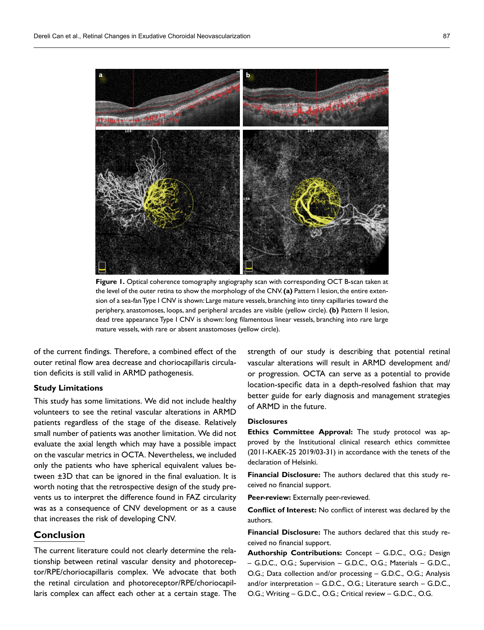

**Figure 1.** Optical coherence tomography angiography scan with corresponding OCT B-scan taken at the level of the outer retina to show the morphology of the CNV. **(a)** Pattern I lesion, the entire extension of a sea-fan Type I CNV is shown: Large mature vessels, branching into tinny capillaries toward the periphery, anastomoses, loops, and peripheral arcades are visible (yellow circle). **(b)** Pattern II lesion, dead tree appearance Type I CNV is shown: long filamentous linear vessels, branching into rare large mature vessels, with rare or absent anastomoses (yellow circle).

of the current findings. Therefore, a combined effect of the outer retinal flow area decrease and choriocapillaris circulation deficits is still valid in ARMD pathogenesis.

#### **Study Limitations**

This study has some limitations. We did not include healthy volunteers to see the retinal vascular alterations in ARMD patients regardless of the stage of the disease. Relatively small number of patients was another limitation. We did not evaluate the axial length which may have a possible impact on the vascular metrics in OCTA. Nevertheless, we included only the patients who have spherical equivalent values between ±3D that can be ignored in the final evaluation. It is worth noting that the retrospective design of the study prevents us to interpret the difference found in FAZ circularity was as a consequence of CNV development or as a cause that increases the risk of developing CNV.

# **Conclusion**

The current literature could not clearly determine the relationship between retinal vascular density and photoreceptor/RPE/choriocapillaris complex. We advocate that both the retinal circulation and photoreceptor/RPE/choriocapillaris complex can affect each other at a certain stage. The strength of our study is describing that potential retinal vascular alterations will result in ARMD development and/ or progression. OCTA can serve as a potential to provide location-specific data in a depth-resolved fashion that may better guide for early diagnosis and management strategies of ARMD in the future.

#### **Disclosures**

**Ethics Committee Approval:** The study protocol was approved by the Institutional clinical research ethics committee (2011-KAEK-25 2019/03-31) in accordance with the tenets of the declaration of Helsinki.

**Financial Disclosure:** The authors declared that this study received no financial support.

**Peer-review:** Externally peer-reviewed.

**Conflict of Interest:** No conflict of interest was declared by the authors.

**Financial Disclosure:** The authors declared that this study received no financial support.

**Authorship Contributions:** Concept – G.D.C., O.G.; Design – G.D.C., O.G.; Supervision – G.D.C., O.G.; Materials – G.D.C., O.G.; Data collection and/or processing – G.D.C., O.G.; Analysis and/or interpretation – G.D.C., O.G.; Literature search – G.D.C., O.G.; Writing – G.D.C., O.G.; Critical review – G.D.C., O.G.